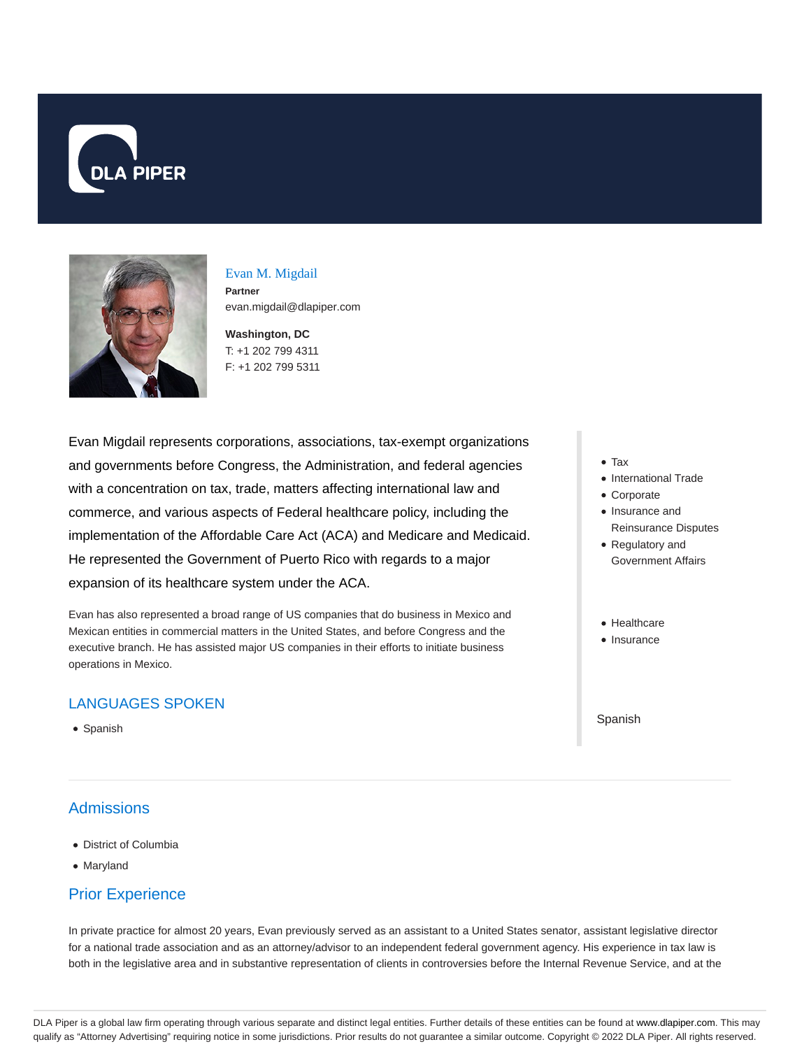



# Evan M. Migdail

**Partner** evan.migdail@dlapiper.com

**Washington, DC** T: +1 202 799 4311 F: +1 202 799 5311

Evan Migdail represents corporations, associations, tax-exempt organizations and governments before Congress, the Administration, and federal agencies with a concentration on tax, trade, matters affecting international law and commerce, and various aspects of Federal healthcare policy, including the implementation of the Affordable Care Act (ACA) and Medicare and Medicaid. He represented the Government of Puerto Rico with regards to a major expansion of its healthcare system under the ACA.

Evan has also represented a broad range of US companies that do business in Mexico and Mexican entities in commercial matters in the United States, and before Congress and the executive branch. He has assisted major US companies in their efforts to initiate business operations in Mexico.

## LANGUAGES SPOKEN

• Spanish

# **Admissions**

- District of Columbia
- Maryland

### Prior Experience

In private practice for almost 20 years, Evan previously served as an assistant to a United States senator, assistant legislative director for a national trade association and as an attorney/advisor to an independent federal government agency. His experience in tax law is both in the legislative area and in substantive representation of clients in controversies before the Internal Revenue Service, and at the

- Tax
- International Trade
- Corporate
- Insurance and Reinsurance Disputes
- Regulatory and Government Affairs
- Healthcare
- Insurance

Spanish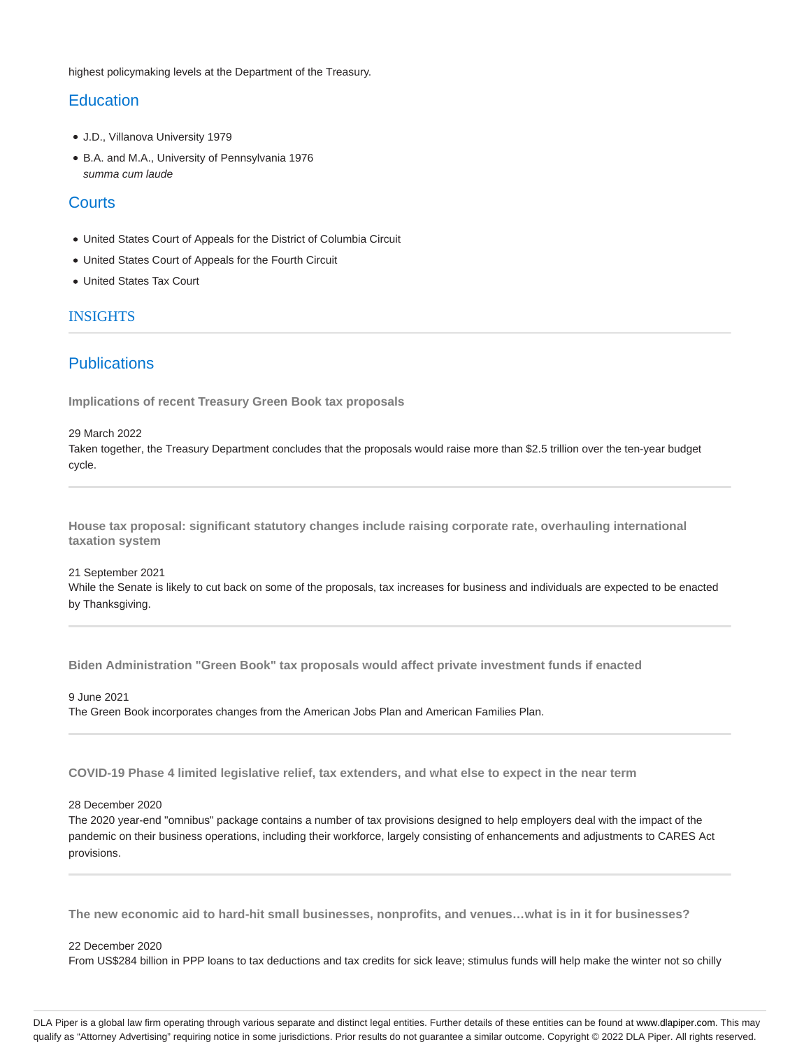highest policymaking levels at the Department of the Treasury.

### **Education**

- J.D., Villanova University 1979
- B.A. and M.A., University of Pennsylvania 1976 summa cum laude

#### **Courts**

- United States Court of Appeals for the District of Columbia Circuit
- United States Court of Appeals for the Fourth Circuit
- United States Tax Court

#### INSIGHTS

#### **Publications**

**Implications of recent Treasury Green Book tax proposals**

29 March 2022 Taken together, the Treasury Department concludes that the proposals would raise more than \$2.5 trillion over the ten-year budget cycle.

**House tax proposal: significant statutory changes include raising corporate rate, overhauling international taxation system**

21 September 2021 While the Senate is likely to cut back on some of the proposals, tax increases for business and individuals are expected to be enacted by Thanksgiving.

**Biden Administration "Green Book" tax proposals would affect private investment funds if enacted**

9 June 2021 The Green Book incorporates changes from the American Jobs Plan and American Families Plan.

**COVID-19 Phase 4 limited legislative relief, tax extenders, and what else to expect in the near term**

#### 28 December 2020

The 2020 year-end "omnibus" package contains a number of tax provisions designed to help employers deal with the impact of the pandemic on their business operations, including their workforce, largely consisting of enhancements and adjustments to CARES Act provisions.

**The new economic aid to hard-hit small businesses, nonprofits, and venues…what is in it for businesses?**

#### 22 December 2020

From US\$284 billion in PPP loans to tax deductions and tax credits for sick leave; stimulus funds will help make the winter not so chilly

DLA Piper is a global law firm operating through various separate and distinct legal entities. Further details of these entities can be found at www.dlapiper.com. This may qualify as "Attorney Advertising" requiring notice in some jurisdictions. Prior results do not guarantee a similar outcome. Copyright @ 2022 DLA Piper. All rights reserved.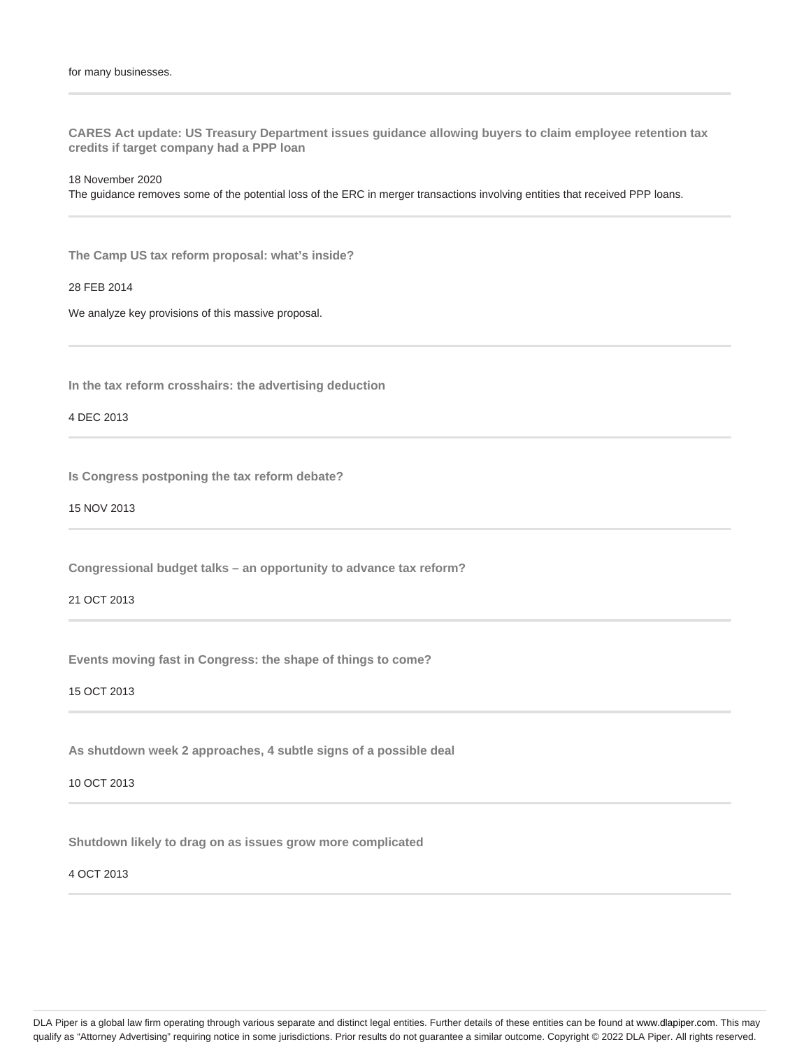**CARES Act update: US Treasury Department issues guidance allowing buyers to claim employee retention tax credits if target company had a PPP loan**

18 November 2020

The guidance removes some of the potential loss of the ERC in merger transactions involving entities that received PPP loans.

**The Camp US tax reform proposal: what's inside?**

28 FEB 2014

We analyze key provisions of this massive proposal.

**In the tax reform crosshairs: the advertising deduction**

4 DEC 2013

**Is Congress postponing the tax reform debate?**

15 NOV 2013

**Congressional budget talks – an opportunity to advance tax reform?**

21 OCT 2013

**Events moving fast in Congress: the shape of things to come?**

15 OCT 2013

**As shutdown week 2 approaches, 4 subtle signs of a possible deal**

10 OCT 2013

**Shutdown likely to drag on as issues grow more complicated**

4 OCT 2013

DLA Piper is a global law firm operating through various separate and distinct legal entities. Further details of these entities can be found at www.dlapiper.com. This may qualify as "Attorney Advertising" requiring notice in some jurisdictions. Prior results do not guarantee a similar outcome. Copyright © 2022 DLA Piper. All rights reserved.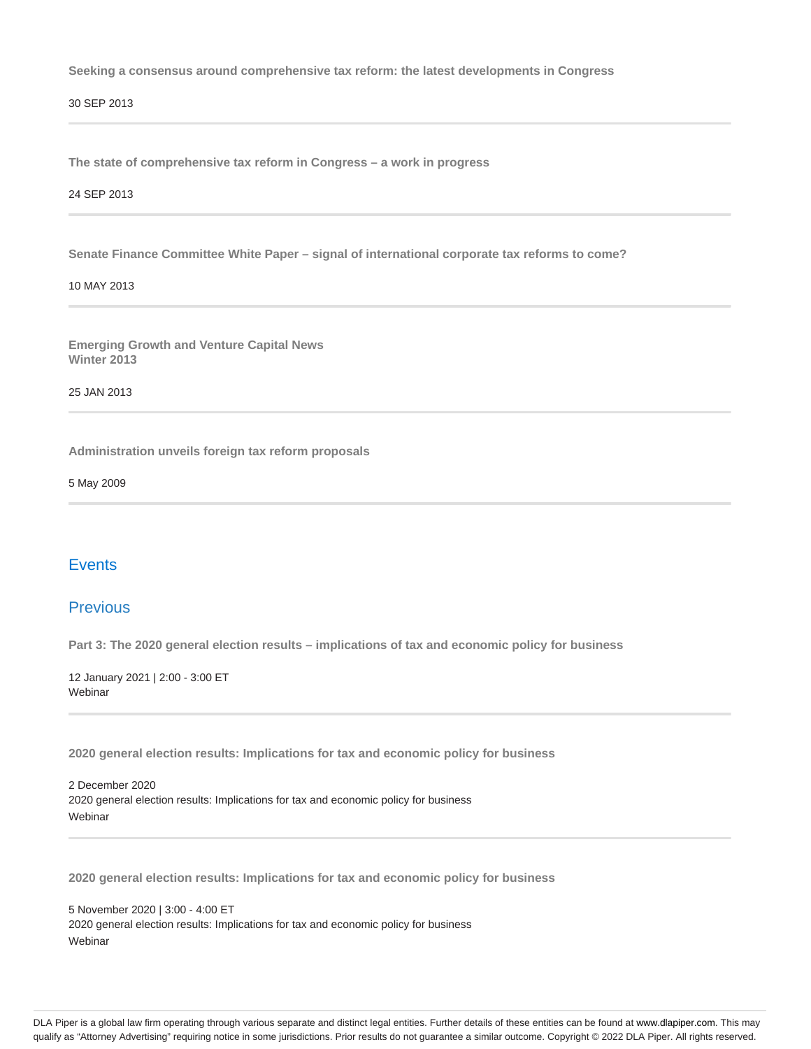**Seeking a consensus around comprehensive tax reform: the latest developments in Congress**

30 SEP 2013

**The state of comprehensive tax reform in Congress – a work in progress**

24 SEP 2013

**Senate Finance Committee White Paper – signal of international corporate tax reforms to come?**

#### 10 MAY 2013

**Emerging Growth and Venture Capital News Winter 2013**

25 JAN 2013

**Administration unveils foreign tax reform proposals**

5 May 2009

### **Events**

#### Previous

**Part 3: The 2020 general election results – implications of tax and economic policy for business**

12 January 2021 | 2:00 - 3:00 ET Webinar

**2020 general election results: Implications for tax and economic policy for business**

2 December 2020 2020 general election results: Implications for tax and economic policy for business Webinar

**2020 general election results: Implications for tax and economic policy for business**

5 November 2020 | 3:00 - 4:00 ET 2020 general election results: Implications for tax and economic policy for business Webinar

DLA Piper is a global law firm operating through various separate and distinct legal entities. Further details of these entities can be found at www.dlapiper.com. This may qualify as "Attorney Advertising" requiring notice in some jurisdictions. Prior results do not guarantee a similar outcome. Copyright © 2022 DLA Piper. All rights reserved.